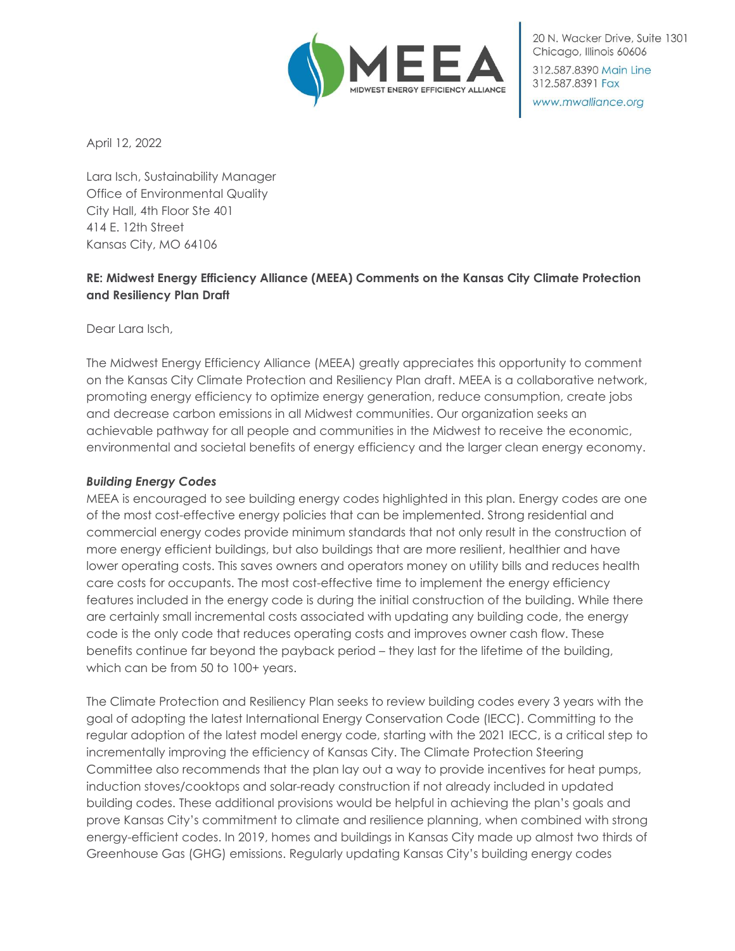

20 N. Wacker Drive, Suite 1301 Chicago, Illinois 60606 312.587.8390 Main Line

www.mwalliance.org

312.587.8391 Fax

April 12, 2022

Lara Isch, Sustainability Manager Office of Environmental Quality City Hall, 4th Floor Ste 401 414 E. 12th Street Kansas City, MO 64106

# **RE: Midwest Energy Efficiency Alliance (MEEA) Comments on the Kansas City Climate Protection and Resiliency Plan Draft**

Dear Lara Isch,

The Midwest Energy Efficiency Alliance (MEEA) greatly appreciates this opportunity to comment on the Kansas City Climate Protection and Resiliency Plan draft. MEEA is a collaborative network, promoting energy efficiency to optimize energy generation, reduce consumption, create jobs and decrease carbon emissions in all Midwest communities. Our organization seeks an achievable pathway for all people and communities in the Midwest to receive the economic, environmental and societal benefits of energy efficiency and the larger clean energy economy.

## *Building Energy Codes*

MEEA is encouraged to see building energy codes highlighted in this plan. Energy codes are one of the most cost-effective energy policies that can be implemented. Strong residential and commercial energy codes provide minimum standards that not only result in the construction of more energy efficient buildings, but also buildings that are more resilient, healthier and have lower operating costs. This saves owners and operators money on utility bills and reduces health care costs for occupants. The most cost-effective time to implement the energy efficiency features included in the energy code is during the initial construction of the building. While there are certainly small incremental costs associated with updating any building code, the energy code is the only code that reduces operating costs and improves owner cash flow. These benefits continue far beyond the payback period – they last for the lifetime of the building, which can be from 50 to 100+ years.

The Climate Protection and Resiliency Plan seeks to review building codes every 3 years with the goal of adopting the latest International Energy Conservation Code (IECC). Committing to the regular adoption of the latest model energy code, starting with the 2021 IECC, is a critical step to incrementally improving the efficiency of Kansas City. The Climate Protection Steering Committee also recommends that the plan lay out a way to provide incentives for heat pumps, induction stoves/cooktops and solar-ready construction if not already included in updated building codes. These additional provisions would be helpful in achieving the plan's goals and prove Kansas City's commitment to climate and resilience planning, when combined with strong energy-efficient codes. In 2019, homes and buildings in Kansas City made up almost two thirds of Greenhouse Gas (GHG) emissions. Regularly updating Kansas City's building energy codes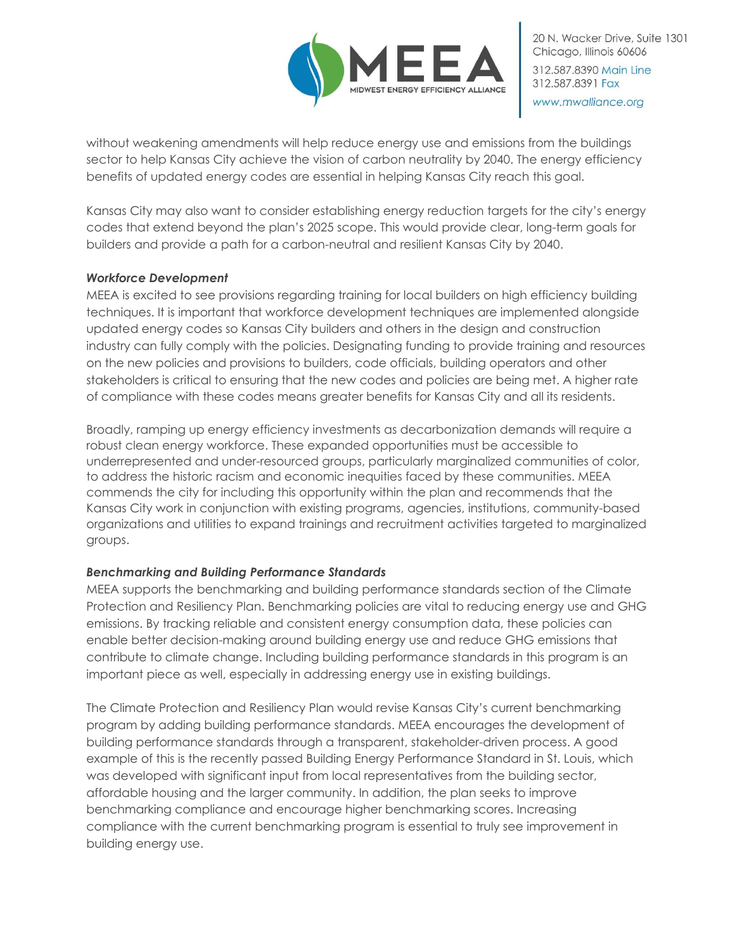

without weakening amendments will help reduce energy use and emissions from the buildings sector to help Kansas City achieve the vision of carbon neutrality by 2040. The energy efficiency benefits of updated energy codes are essential in helping Kansas City reach this goal.

Kansas City may also want to consider establishing energy reduction targets for the city's energy codes that extend beyond the plan's 2025 scope. This would provide clear, long-term goals for builders and provide a path for a carbon-neutral and resilient Kansas City by 2040.

### *Workforce Development*

MEEA is excited to see provisions regarding training for local builders on high efficiency building techniques. It is important that workforce development techniques are implemented alongside updated energy codes so Kansas City builders and others in the design and construction industry can fully comply with the policies. Designating funding to provide training and resources on the new policies and provisions to builders, code officials, building operators and other stakeholders is critical to ensuring that the new codes and policies are being met. A higher rate of compliance with these codes means greater benefits for Kansas City and all its residents.

Broadly, ramping up energy efficiency investments as decarbonization demands will require a robust clean energy workforce. These expanded opportunities must be accessible to underrepresented and under-resourced groups, particularly marginalized communities of color, to address the historic racism and economic inequities faced by these communities. MEEA commends the city for including this opportunity within the plan and recommends that the Kansas City work in conjunction with existing programs, agencies, institutions, community-based organizations and utilities to expand trainings and recruitment activities targeted to marginalized groups.

## *Benchmarking and Building Performance Standards*

MEEA supports the benchmarking and building performance standards section of the Climate Protection and Resiliency Plan. Benchmarking policies are vital to reducing energy use and GHG emissions. By tracking reliable and consistent energy consumption data, these policies can enable better decision-making around building energy use and reduce GHG emissions that contribute to climate change. Including building performance standards in this program is an important piece as well, especially in addressing energy use in existing buildings.

The Climate Protection and Resiliency Plan would revise Kansas City's current benchmarking program by adding building performance standards. MEEA encourages the development of building performance standards through a transparent, stakeholder-driven process. A good example of this is the recently passed Building Energy Performance Standard in St. Louis, which was developed with significant input from local representatives from the building sector, affordable housing and the larger community. In addition, the plan seeks to improve benchmarking compliance and encourage higher benchmarking scores. Increasing compliance with the current benchmarking program is essential to truly see improvement in building energy use.